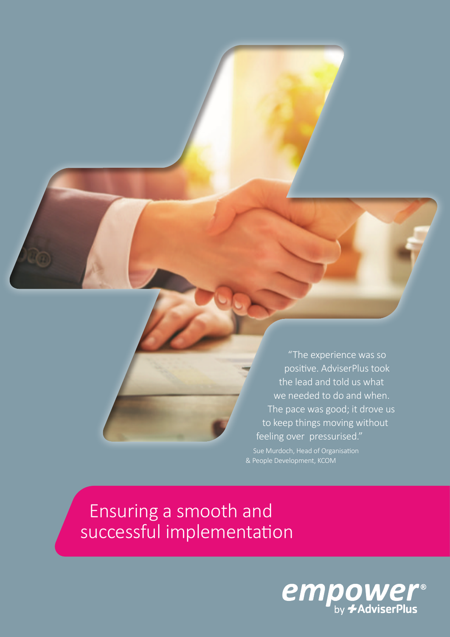"The experience was so positive. AdviserPlus took the lead and told us what we needed to do and when. The pace was good; it drove us to keep things moving without feeling over pressurised."

Sue Murdoch, Head of Organisation & People Development, KCOM

 Ensuring a smooth and successful implementation